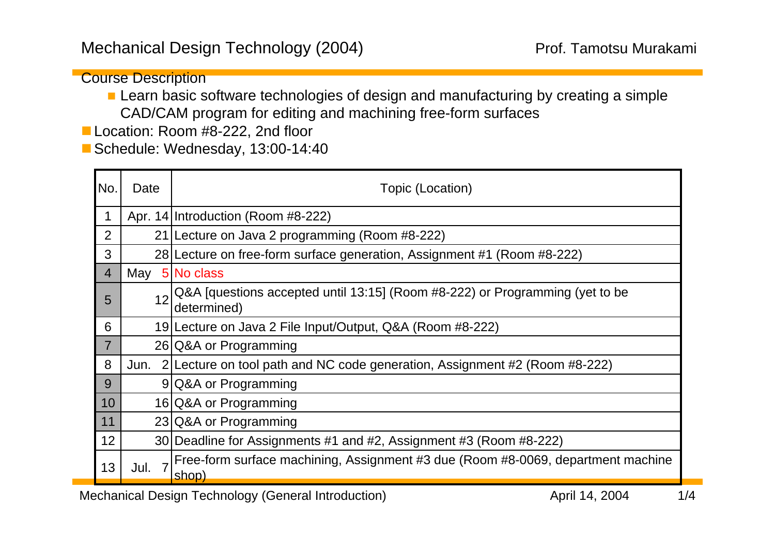Course Description

**Learn basic software technologies of design and manufacturing by creating a simple** CAD/CAM program for editing and machining free-form surfaces

Location: Room #8-222, 2nd floor

Schedule: Wednesday, 13:00-14:40

| INo.           | Date | Topic (Location)                                                                            |
|----------------|------|---------------------------------------------------------------------------------------------|
|                |      | Apr. 14 Introduction (Room #8-222)                                                          |
| $\overline{2}$ | 21   | Lecture on Java 2 programming (Room #8-222)                                                 |
| 3              |      | 28 Lecture on free-form surface generation, Assignment #1 (Room #8-222)                     |
| $\overline{4}$ | May  | 5 No class                                                                                  |
| 5              | 12   | Q&A [questions accepted until 13:15] (Room #8-222) or Programming (yet to be<br>determined) |
| 6              |      | 19 Lecture on Java 2 File Input/Output, Q&A (Room #8-222)                                   |
| $\overline{7}$ |      | 26 Q&A or Programming                                                                       |
| 8              | Jun. | 2 Lecture on tool path and NC code generation, Assignment #2 (Room #8-222)                  |
| 9              |      | 9 Q&A or Programming                                                                        |
| $\vert$ 10     |      | 16 Q&A or Programming                                                                       |
| $\vert$ 11     |      | 23 Q&A or Programming                                                                       |
| 12             |      | 30 Deadline for Assignments #1 and #2, Assignment #3 (Room #8-222)                          |
| 13             | Jul. | Free-form surface machining, Assignment #3 due (Room #8-0069, department machine<br>shop)   |

Mechanical Design Technology (General Introduction) 1/4 April 14, 2004 1/4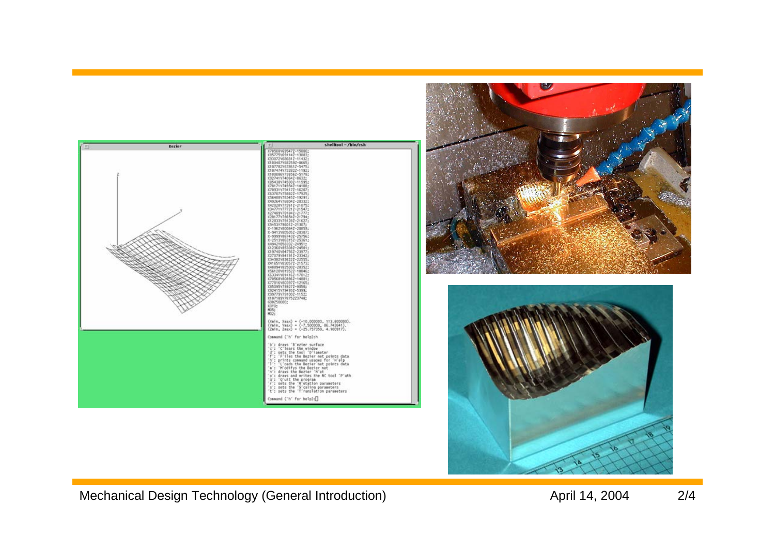



Mechanical Design Technology (General Introduction) and the control control April 14, 2004 2/4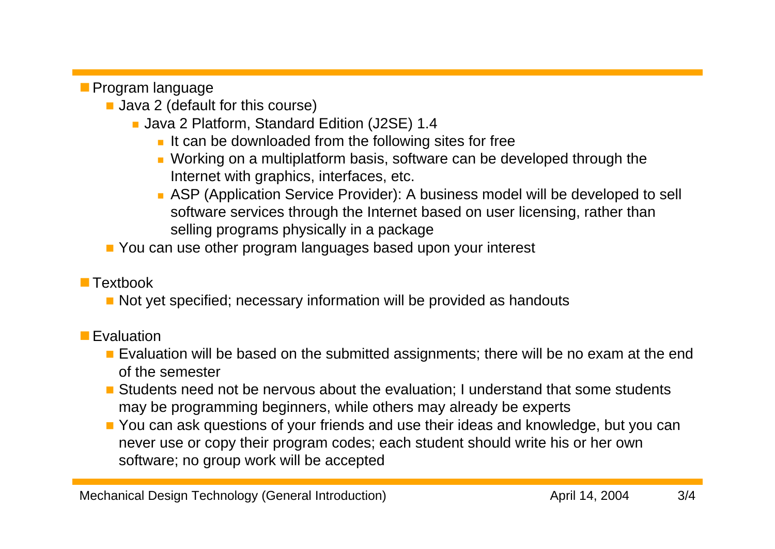**Program language** 

- **Java 2 (default for this course)** 
	- Java 2 Platform, Standard Edition (J2SE) 1.4
		- $\blacksquare$  It can be downloaded from the following sites for free
		- Working on a multiplatform basis, software can be developed through the Internet with graphics, interfaces, etc.
		- ASP (Application Service Provider): A business model will be developed to sell software services through the Internet based on user licensing, rather than selling programs physically in a package
- You can use other program languages based upon your interest

## **Textbook**

**Not yet specified; necessary information will be provided as handouts** 

## **Evaluation**

- **Exaluation will be based on the submitted assignments; there will be no exam at the end** of the semester
- **Students need not be nervous about the evaluation; I understand that some students** may be programming beginners, while others may already be experts
- **P** You can ask questions of your friends and use their ideas and knowledge, but you can never use or copy their program codes; each student should write his or her own software; no group work will be accepted